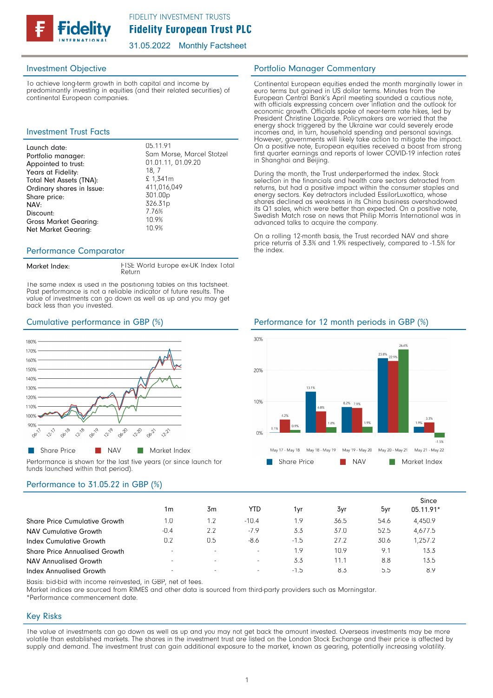

31.05.2022 Monthly Factsheet

## Investment Objective

To achieve long-term growth in both capital and income by predominantly investing in equities (and their related securities) of continental European companies.

## Investment Trust Facts

| Launch date:                 | 05.11.91                  |
|------------------------------|---------------------------|
| Portfolio manager:           | Sam Morse, Marcel Stotzel |
| Appointed to trust:          | 01.01.11, 01.09.20        |
| Years at Fidelity:           | 18, 7                     |
| Total Net Assets (TNA):      | \$1,341m                  |
| Ordinary shares in Issue:    | 411,016,049               |
| Share price:                 | 301.00p                   |
| NAV:                         | 326.31p                   |
| Discount:                    | 7.76%                     |
| <b>Gross Market Gearing:</b> | 10.9%                     |
| <b>Net Market Gearing:</b>   | 10.9%                     |

## Performance Comparator

FTSE World Europe ex-UK Index Total **Return** 

The same index is used in the positioning tables on this factsheet. Past performance is not a reliable indicator of future results. The value of investments can go down as well as up and you may get back less than you invested.



Performance is shown for the last five years (or since launch for funds launched within that period).

## Performance to 31.05.22 in GBP (%)

|                                      | 1 <sub>m</sub>           | 3m                       | YTD                      | 1yr    | 3yr  | 5yr  | Since<br>05.11.91* |
|--------------------------------------|--------------------------|--------------------------|--------------------------|--------|------|------|--------------------|
| <b>Share Price Cumulative Growth</b> | 1.0                      | 1.2                      | $-10.4$                  | 1.9    | 36.5 | 54.6 | 4,450.9            |
| <b>NAV Cumulative Growth</b>         | $-0.4$                   | 2.2                      | $-7.9$                   | 3.3    | 37.0 | 52.5 | 4,677.5            |
| Index Cumulative Growth              | 0.2                      | 0.5                      | -8.6                     | $-1.5$ | 27.2 | 30.6 | 1,257.2            |
| <b>Share Price Annualised Growth</b> | $\overline{\phantom{a}}$ | $\overline{\phantom{a}}$ | $\overline{\phantom{a}}$ | 1.9    | 10.9 | 9.1  | 13.3               |
| <b>NAV Annualised Growth</b>         | $\overline{\phantom{a}}$ | $\overline{\phantom{a}}$ | $\overline{\phantom{a}}$ | 3.3    | 11.1 | 8.8  | 13.5               |
| Index Annualised Growth              | $\overline{\phantom{a}}$ | $\overline{\phantom{a}}$ | $\overline{\phantom{a}}$ | $-1.5$ | 8.3  | 5.5  | 8.9                |

Basis: bid-bid with income reinvested, in GBP, net of fees.

Market indices are sourced from RIMES and other data is sourced from third-party providers such as Morningstar.

\*Performance commencement date.

## Key Risks

The value of investments can go down as well as up and you may not get back the amount invested. Overseas investments may be more volatile than established markets. The shares in the investment trust are listed on the London Stock Exchange and their price is affected by supply and demand. The investment trust can gain additional exposure to the market, known as gearing, potentially increasing volatility.

## Portfolio Manager Commentary

Continental European equities ended the month marginally lower in euro terms but gained in US dollar terms. Minutes from the European Central Bank's April meeting sounded a cautious note, with officials expressing concern over inflation and the outlook for economic growth. Officials spoke of near-term rate hikes, led by President Christine Lagarde. Policymakers are worried that the energy shock triggered by the Ukraine war could severely erode incomes and, in turn, household spending and personal savings. However, governments will likely take action to mitigate the impact. On a positive note, European equities received a boost from strong first quarter earnings and reports of lower COVID-19 infection rates in Shanghai and Beijing.

During the month, the Trust underperformed the index. Stock selection in the financials and health care sectors detracted from returns, but had a positive impact within the consumer staples and energy sectors. Key detractors included EssilorLuxottica, whose shares declined as weakness in its China business overshadowed its Q1 sales, which were better than expected. On a positive note, Swedish Match rose on news that Philip Morris International was in advanced talks to acquire the company.

On a rolling 12-month basis, the Trust recorded NAV and share price returns of 3.3% and 1.9% respectively, compared to -1.5% for the index.

## Cumulative performance in GBP (%) Performance for 12 month periods in GBP (%)

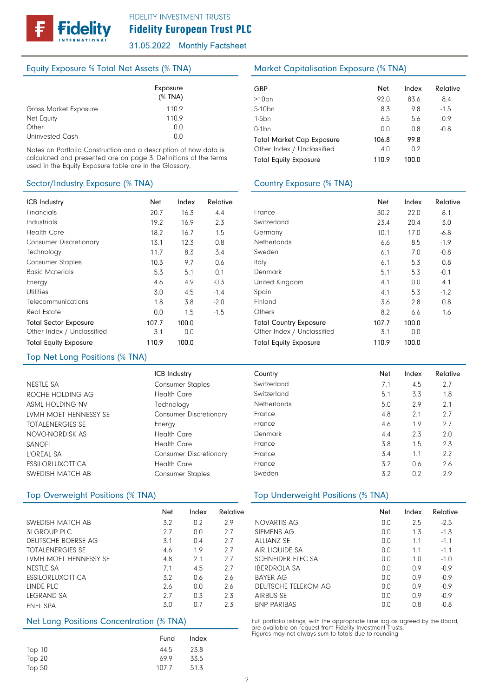# Fidelity European Trust PLC

31.05.2022 Monthly Factsheet

## Equity Exposure % Total Net Assets (% TNA)

|                       | Exposure<br>$(%$ (% TNA) |  |
|-----------------------|--------------------------|--|
| Gross Market Exposure | 1109                     |  |
| Net Equity            | 110.9                    |  |
| Other                 | n n                      |  |
| Uninvested Cash       | ΩO                       |  |

Notes on Portfolio Construction and a description of how data is calculated and presented are on page 3. Definitions of the terms used in the Equity Exposure table are in the Glossary.

## Sector/Industry Exposure (% TNA)

| <b>ICB Industry</b>           | <b>Net</b> | Index | Relative |
|-------------------------------|------------|-------|----------|
|                               |            |       |          |
| Financials                    | 20.7       | 16.3  | 4.4      |
| Industrials                   | 19.2       | 16.9  | 2.3      |
| <b>Health Care</b>            | 18.2       | 16.7  | 1.5      |
| <b>Consumer Discretionary</b> | 13.1       | 12.3  | 0.8      |
| Technology                    | 11.7       | 8.3   | 3.4      |
| <b>Consumer Staples</b>       | 10.3       | 9.7   | 0.6      |
| <b>Basic Materials</b>        | 5.3        | 5.1   | 0.1      |
| Energy                        | 4.6        | 4.9   | $-0.3$   |
| <b>Utilities</b>              | 3.0        | 4.5   | $-1.4$   |
| Telecommunications            | 1.8        | 3.8   | $-2.0$   |
| Real Estate                   | 0.0        | 1.5   | $-1.5$   |
| <b>Total Sector Exposure</b>  | 107.7      | 100.0 |          |
| Other Index / Unclassified    | 3.1        | 0.0   |          |
| <b>Total Equity Exposure</b>  | 110.9      | 100.0 |          |

## Top Net Long Positions (% TNA)

|                         | <b>ICB Industry</b>           | Country            | <b>Net</b> | Index | Relative |
|-------------------------|-------------------------------|--------------------|------------|-------|----------|
| NESTLE SA               | <b>Consumer Staples</b>       | Switzerland        | 7.1        | 4.5   | 2.7      |
| ROCHE HOLDING AG        | <b>Health Care</b>            | Switzerland        | 5.1        | 3.3   | 1.8      |
| asml holding nv         | Technology                    | <b>Netherlands</b> | 5.0        | 2.9   | 2.1      |
| LVMH MOET HENNESSY SE   | <b>Consumer Discretionary</b> | France             | 4.8        | 2.1   | 2.7      |
| <b>TOTALENERGIES SE</b> | Energy                        | France             | 4.6        | 1.9   | 2.7      |
| NOVO-NORDISK AS         | <b>Health Care</b>            | Denmark            | 4.4        | 2.3   | 2.0      |
| SANOFI                  | <b>Health Care</b>            | France             | 3.8        | 1.5   | 2.3      |
| L'OREAL SA              | <b>Consumer Discretionary</b> | France             | 3.4        | 1.1   | 2.2      |
| <b>ESSILORLUXOTTICA</b> | <b>Health Care</b>            | France             | 3.2        | 0.6   | 2.6      |
| SWEDISH MATCH AB        | Consumer Staples              | Sweden             | 3.2        | 0.2   | 2.9      |
|                         |                               |                    |            |       |          |

|                          | <b>Net</b> | Index      | Relative |
|--------------------------|------------|------------|----------|
| SWEDISH MATCH AB         | 3.2        | 0.2        | 29       |
| 31 GROUP PLC             | 2.7        | 0.0        | 27       |
| DEUTSCHE BOERSE AG       | 31         | $\Omega$ 4 | 27       |
| <b>TOTALENERGIES SE</b>  | 4.6        | 19         | 27       |
| TVMH MOFT HENNESSY SF    | 48         | 21         | 27       |
| NESTI E SA               | 71         | 4.5        | 27       |
| <b>ESSILORI UXOTTICA</b> | 3.2        | 06         | 26       |
| <b>IINDE PIC.</b>        | 26         | n n        | 26       |
| LEGRAND SA               | 27         | 0.3        | 23       |
| FNFI SPA                 | 3.0        | n 7        | 23       |

## Net Long Positions Concentration (% TNA)

|          | Fund  | Index |
|----------|-------|-------|
| Top 10   | 44.5  | 23.8  |
| Top 20   | 699   | 33.5  |
| Top $50$ | 107.7 | 51.3  |

## Market Capitalisation Exposure (% TNA)

| GBP                              | <b>Net</b> | Index | Relative |
|----------------------------------|------------|-------|----------|
| $>10$ bn                         | 92.0       | 83.6  | 8.4      |
| 5-10 <sub>bn</sub>               | 8.3        | 9.8   | $-1.5$   |
| $1-5$ bn                         | 6.5        | 5.6   | 0.9      |
| $0-1$ bn                         | 0.0        | 0.8   | $-0.8$   |
| <b>Total Market Cap Exposure</b> | 106.8      | 99.8  |          |
| Other Index / Unclassified       | 4.0        | 0.2   |          |
| <b>Total Equity Exposure</b>     | 110.9      | 100.0 |          |

## Country Exposure (% TNA)

|                               | Net   | Index | Relative |
|-------------------------------|-------|-------|----------|
| France                        | 30.2  | 22.0  | 8.1      |
| Switzerland                   | 23.4  | 20.4  | 3.0      |
| Germany                       | 10.1  | 17.0  | $-6.8$   |
| <b>Netherlands</b>            | 6.6   | 8.5   | $-1.9$   |
| Sweden                        | 6.1   | 7.0   | $-0.8$   |
| Italy                         | 6.1   | 5.3   | 0.8      |
| Denmark                       | 5.1   | 5.3   | $-0.1$   |
| United Kingdom                | 4.1   | 0.0   | 4.1      |
| Spain                         | 4.1   | 5.3   | $-1.2$   |
| Finland                       | 3.6   | 2.8   | 0.8      |
| Others                        | 8.2   | 6.6   | 1.6      |
| <b>Total Country Exposure</b> | 107.7 | 100.0 |          |
| Other Index / Unclassified    | 3.1   | 0.0   |          |
| <b>Total Equity Exposure</b>  | 110.9 | 100.0 |          |

| Country     | Net | Index | Relative |
|-------------|-----|-------|----------|
| Switzerland | 7.1 | 4.5   | 2.7      |
| Switzerland | 5.1 | 3.3   | 1.8      |
| Netherlands | 5.0 | 2.9   | 2.1      |
| France      | 4.8 | 2.1   | 2.7      |
| France      | 4.6 | 1.9   | 2.7      |
| Denmark     | 4.4 | 2.3   | 2.0      |
| France      | 3.8 | 1.5   | 2.3      |
| France      | 3.4 | 1.1   | 2.2      |
| France      | 3.2 | 0.6   | 2.6      |
| Sweden      | 3.2 | 0.2   | 2.9      |

## Top Overweight Positions (% TNA) Top Underweight Positions (% TNA)

|                     | Net | Index | Relative |
|---------------------|-----|-------|----------|
| NOVARTIS AG         | 0.0 | 2.5   | $-2.5$   |
| SIEMENS AG          | 0.0 | 1.3   | $-1.3$   |
| ALLIANZ SE          | 0.0 | 11    | $-11$    |
| AIR HOUIDE SA       | 0.0 | 11    | $-11$    |
| SCHNEIDER ELEC SA   | 0.0 | 1.0   | $-1.0$   |
| IBERDROLA SA        | n n | በ 9   | -0.9     |
| BAYER AG            | 0.0 | 09    | -0.9     |
| DEUTSCHE TELEKOM AG | n n | 09    | $-0.9$   |
| AIRBUS SE           | n n | በ 9   | -0.9     |
| <b>BNP PARIBAS</b>  | 0.0 | 0.8   | $-0.8$   |

Full portfolio listings, with the appropriate time lag as agreed by the Board, are available on request from Fidelity Investment Trusts. Figures may not always sum to totals due to rounding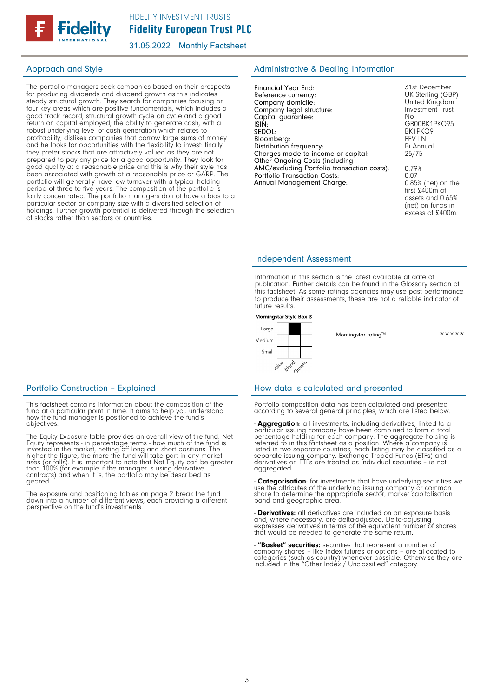

31.05.2022 Monthly Factsheet

The portfolio managers seek companies based on their prospects for producing dividends and dividend growth as this indicates steady structural growth. They search for companies focusing on four key areas which are positive fundamentals, which includes a good track record, structural growth cycle on cycle and a good return on capital employed; the ability to generate cash, with a robust underlying level of cash generation which relates to profitability; dislikes companies that borrow large sums of money and he looks for opportunities with the flexibility to invest: finally they prefer stocks that are attractively valued as they are not prepared to pay any price for a good opportunity. They look for good quality at a reasonable price and this is why their style has been associated with growth at a reasonable price or GARP. The portfolio will generally have low turnover with a typical holding period of three to five years. The composition of the portfolio is fairly concentrated. The portfolio managers do not have a bias to a particular sector or company size with a diversified selection of holdings. Further growth potential is delivered through the selection of stocks rather than sectors or countries.

## Approach and Style **Administrative & Dealing Information**

| Financial Year End:                         |
|---------------------------------------------|
| Reference currency:                         |
| Company domicile:                           |
| Company legal structure:                    |
| Capital quarantee:                          |
| ISIN:                                       |
| SEDOL:                                      |
| Bloomberg:                                  |
| Distribution frequency:                     |
| Charges made to income or capital:          |
| Other Ongoing Costs (including              |
| AMC/excluding Portfolio transaction costs): |
| Portfolio Transaction Costs:                |
| Annual Management Charge:                   |
|                                             |

31st December UK Sterling (GBP) United Kingdom Investment Trust No GB00BK1PKQ95 BK1PKQ9 FEV LN Bi Annual 25/75

0.79% 0.07 0.85% (net) on the first £400m of assets and 0.65% (net) on funds in excess of £400m.

## Independent Assessment

Information in this section is the latest available at date of publication. Further details can be found in the Glossary section of this factsheet. As some ratings agencies may use past performance to produce their assessments, these are not a reliable indicator of future results.

#### Morningstar Style Box ®



This factsheet contains information about the composition of the fund at a particular point in time. It aims to help you understand how the fund manager is positioned to achieve the fund's objectives.

The Equity Exposure table provides an overall view of the fund. Net<br>Equity represents - in percentage terms - how much of the fund is<br>invested in the market, netting off long and short positions. The<br>higher the figure, the geared.

The exposure and positioning tables on page 2 break the fund down into a number of different views, each providing a different perspective on the fund's investments.

## Portfolio Construction - Explained How data is calculated and presented

Portfolio composition data has been calculated and presented according to several general principles, which are listed below.

- **Aggregation**: all investments, including derivatives, linked to a particular issuing company have been combined to form a total percentage holding for each company. The aggregate holding is referred to in this factsheet aggregated.

Categorisation: for investments that have underlying securities we use the attributes of the underlying issuing company or common share to determine the appropriate sector, market capitalisation band and geographic area.

- Derivatives: all derivatives are included on an exposure basis and, where necessary, are delta-adjusted. Delta-adjusting expresses derivatives in terms of the equivalent number of shares that would be needed to generate the same return.

- "Basket" securities: securities that represent a number of<br>company shares - like index futures or options - are allocated to<br>categories (such as country) whenever possible. Otherwise they are<br>included in the "Other Index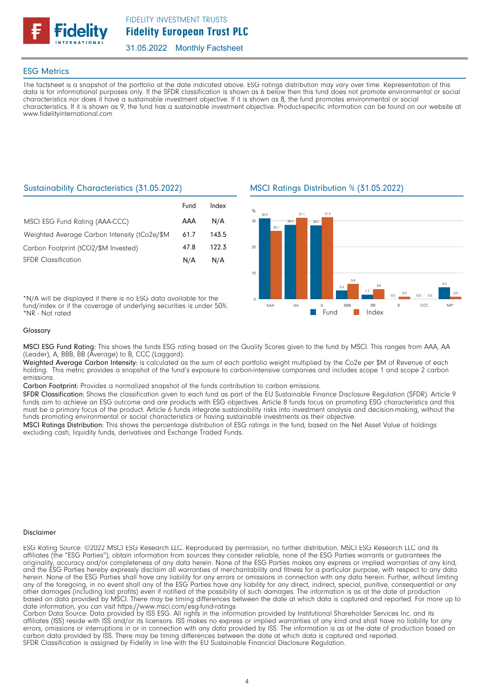

31.05.2022 Monthly Factsheet

## ESG Metrics

The factsheet is a snapshot of the portfolio at the date indicated above. ESG ratings distribution may vary over time. Representation of this data is for informational purposes only. If the SFDR classification is shown as 6 below then this fund does not promote environmental or social characteristics nor does it have a sustainable investment objective. If it is shown as 8, the fund promotes environmental or social characteristics. If it is shown as 9, the fund has a sustainable investment objective. Product-specific information can be found on our website at www.fidelityinternational.com

## Sustainability Characteristics (31.05.2022)

|                                               | Fund | Index |
|-----------------------------------------------|------|-------|
| MSCI ESG Fund Rating (AAA-CCC)                | AAA  | N/A   |
| Weighted Average Carbon Intensity (tCo2e/\$M) | 61.7 | 143.5 |
| Carbon Footprint (tCO2/\$M Invested)          | 47.8 | 122.3 |
| <b>SFDR Classification</b>                    | N/A  | N/A   |

\*N/A will be displayed if there is no ESG data available for the fund/index or if the coverage of underlying securities is under 50%. \*NR - Not rated

## MSCI Ratings Distribution % (31.05.2022)



### Glossary

MSCI ESG Fund Rating: This shows the funds ESG rating based on the Quality Scores given to the fund by MSCI. This ranges from AAA, AA (Leader), A, BBB, BB (Average) to B, CCC (Laggard).

Weighted Average Carbon Intensity: is calculated as the sum of each portfolio weight multiplied by the Co2e per \$M of Revenue of each holding. This metric provides a snapshot of the fund's exposure to carbon-intensive companies and includes scope 1 and scope 2 carbon emissions.

Carbon Footprint: Provides a normalized snapshot of the funds contribution to carbon emissions.

SFDR Classification: Shows the classification given to each fund as part of the EU Sustainable Finance Disclosure Regulation (SFDR). Article 9 funds aim to achieve an ESG outcome and are products with ESG objectives. Article 8 funds focus on promoting ESG characteristics and this must be a primary focus of the product. Article 6 funds integrate sustainability risks into investment analysis and decision-making, without the funds promoting environmental or social characteristics or having sustainable investments as their objective.

MSCI Ratings Distribution: This shows the percentage distribution of ESG ratings in the fund, based on the Net Asset Value of holdings excluding cash, liquidity funds, derivatives and Exchange Traded Funds.

#### **Disclaimer**

ESG Rating Source: ©2022 MSCI ESG Research LLC. Reproduced by permission, no further distribution. MSCI ESG Research LLC and its affiliates (the "ESG Parties"), obtain information from sources they consider reliable, none of the ESG Parties warrants or guarantees the originality, accuracy and/or completeness of any data herein. None of the ESG Parties makes any express or implied warranties of any kind, and the ESG Parties hereby expressly disclaim all warranties of merchantability and fitness for a particular purpose, with respect to any data herein. None of the ESG Parties shall have any liability for any errors or omissions in connection with any data herein. Further, without limiting any of the foregoing, in no event shall any of the ESG Parties have any liability for any direct, indirect, special, punitive, consequential or any other damages (including lost profits) even if notified of the possibility of such damages. The information is as at the date of production based on data provided by MSCI. There may be timing differences between the date at which data is captured and reported. For more up to date information, you can visit https://www.msci.com/esg-fund-ratings

Carbon Data Source: Data provided by ISS ESG. All rights in the information provided by Institutional Shareholder Services Inc. and its affiliates (ISS) reside with ISS and/or its licensors. ISS makes no express or implied warranties of any kind and shall have no liability for any errors, omissions or interruptions in or in connection with any data provided by ISS. The information is as at the date of production based on carbon data provided by ISS. There may be timing differences between the date at which data is captured and reported. SFDR Classification is assigned by Fidelity in line with the EU Sustainable Financial Disclosure Regulation.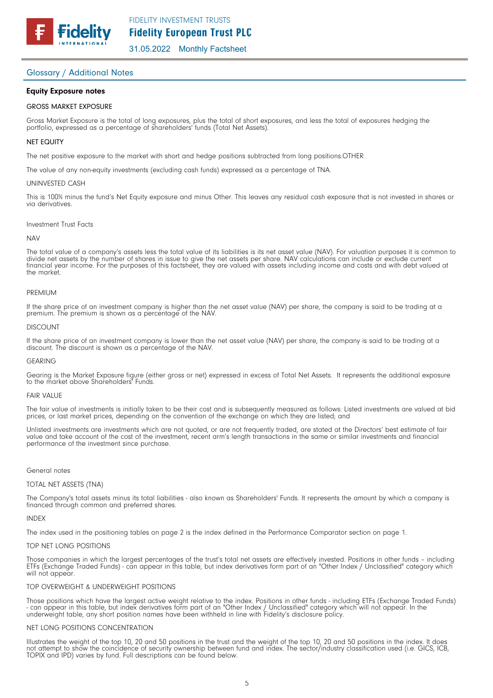

## Glossary / Additional Notes

### Equity Exposure notes

#### GROSS MARKET EXPOSURE

Gross Market Exposure is the total of long exposures, plus the total of short exposures, and less the total of exposures hedging the portfolio, expressed as a percentage of shareholders' funds (Total Net Assets).

### NET EQUITY

The net positive exposure to the market with short and hedge positions subtracted from long positions.OTHER

The value of any non-equity investments (excluding cash funds) expressed as a percentage of TNA.

#### UNINVESTED CASH

This is 100% minus the fund's Net Equity exposure and minus Other. This leaves any residual cash exposure that is not invested in shares or via derivatives.

#### Investment Trust Facts

#### **NAV**

The total value of a company's assets less the total value of its liabilities is its net asset value (NAV). For valuation purposes it is common to divide net assets by the number of shares in issue to give the net assets per share. NAV calculations can include or exclude current financial year income. For the purposes of this factsheet, they are valued with assets including income and costs and with debt valued at the market.

#### PREMIUM

If the share price of an investment company is higher than the net asset value (NAV) per share, the company is said to be trading at a premium. The premium is shown as a percentage of the NAV.

#### DISCOUNT

If the share price of an investment company is lower than the net asset value (NAV) per share, the company is said to be trading at a discount. The discount is shown as a percentage of the NAV.

#### GEARING

Gearing is the Market Exposure figure (either gross or net) expressed in excess of Total Net Assets. It represents the additional exposure to the market above Shareholders<sup>7</sup> Funds.

#### FAIR VALUE

The fair value of investments is initially taken to be their cost and is subsequently measured as follows: Listed investments are valued at bid prices, or last market prices, depending on the convention of the exchange on which they are listed; and

Unlisted investments are investments which are not quoted, or are not frequently traded, are stated at the Directors' best estimate of fair value and take account of the cost of the investment, recent arm's length transactions in the same or similar investments and financial performance of the investment since purchase.

#### General notes

#### TOTAL NET ASSETS (TNA)

The Company's total assets minus its total liabilities - also known as Shareholders' Funds. It represents the amount by which a company is financed through common and preferred shares.

#### INDEX

The index used in the positioning tables on page 2 is the index defined in the Performance Comparator section on page 1.

#### TOP NET LONG POSITIONS

Those companies in which the largest percentages of the trust's total net assets are effectively invested. Positions in other funds – including ETFs (Exchange Traded Funds) - can appear in this table, but index derivatives form part of an "Other Index / Unclassified" category which will not appear.

#### TOP OVERWEIGHT & UNDERWEIGHT POSITIONS

Those positions which have the largest active weight relative to the index. Positions in other funds - including ETFs (Exchange Traded Funds) - can appear in this table, but index derivatives form part of an "Other Index / Unclassified" category which will not appear. In the underweight table, any short position names have been withheld in line with Fidelity's disclosure policy.

#### NET LONG POSITIONS CONCENTRATION

Illustrates the weight of the top 10, 20 and 50 positions in the trust and the weight of the top 10, 20 and 50 positions in the index. It does not attempt to show the coincidence of security ownership between fund and index. The sector/industry classification used (i.e. GICS, ICB, TOPIX and IPD) varies by fund. Full descriptions can be found below.